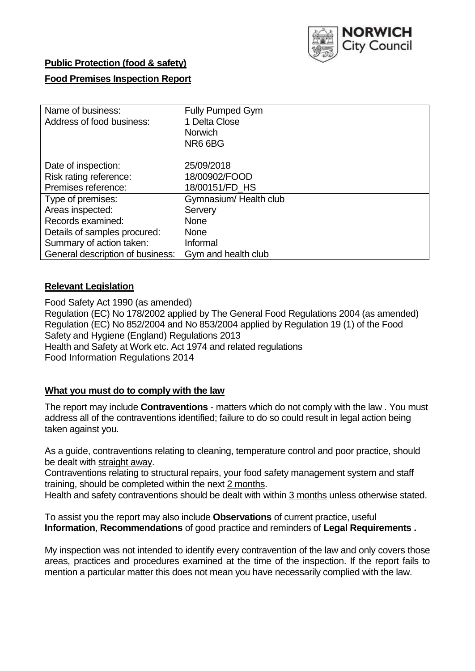

# **Public Protection (food & safety)**

## **Food Premises Inspection Report**

| Name of business:                | <b>Fully Pumped Gym</b> |
|----------------------------------|-------------------------|
| Address of food business:        | 1 Delta Close           |
|                                  | <b>Norwich</b>          |
|                                  | NR6 6BG                 |
| Date of inspection:              | 25/09/2018              |
| Risk rating reference:           | 18/00902/FOOD           |
| Premises reference:              | 18/00151/FD_HS          |
| Type of premises:                | Gymnasium/Health club   |
| Areas inspected:                 | Servery                 |
| Records examined:                | <b>None</b>             |
| Details of samples procured:     | <b>None</b>             |
| Summary of action taken:         | Informal                |
| General description of business: | Gym and health club     |

#### **Relevant Legislation**

Food Safety Act 1990 (as amended) Regulation (EC) No 178/2002 applied by The General Food Regulations 2004 (as amended) Regulation (EC) No 852/2004 and No 853/2004 applied by Regulation 19 (1) of the Food Safety and Hygiene (England) Regulations 2013 Health and Safety at Work etc. Act 1974 and related regulations Food Information Regulations 2014

# **What you must do to comply with the law**

The report may include **Contraventions** - matters which do not comply with the law . You must address all of the contraventions identified; failure to do so could result in legal action being taken against you.

As a guide, contraventions relating to cleaning, temperature control and poor practice, should be dealt with straight away.

Contraventions relating to structural repairs, your food safety management system and staff training, should be completed within the next 2 months.

Health and safety contraventions should be dealt with within 3 months unless otherwise stated.

To assist you the report may also include **Observations** of current practice, useful **Information**, **Recommendations** of good practice and reminders of **Legal Requirements .**

My inspection was not intended to identify every contravention of the law and only covers those areas, practices and procedures examined at the time of the inspection. If the report fails to mention a particular matter this does not mean you have necessarily complied with the law.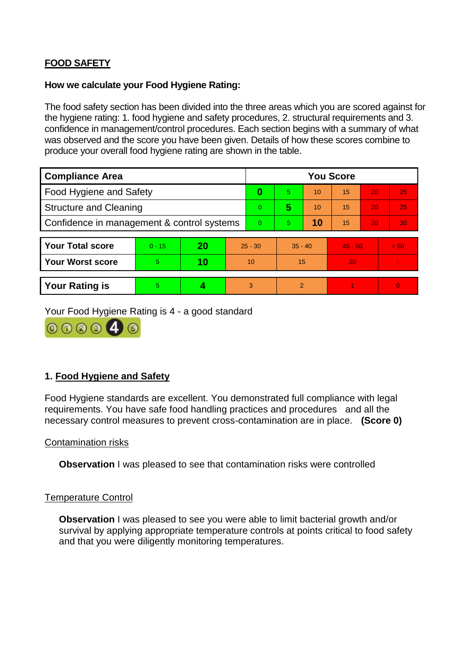# **FOOD SAFETY**

### **How we calculate your Food Hygiene Rating:**

The food safety section has been divided into the three areas which you are scored against for the hygiene rating: 1. food hygiene and safety procedures, 2. structural requirements and 3. confidence in management/control procedures. Each section begins with a summary of what was observed and the score you have been given. Details of how these scores combine to produce your overall food hygiene rating are shown in the table.

| <b>Compliance Area</b>                     |          |    |    | <b>You Score</b> |                |           |           |    |                |  |  |
|--------------------------------------------|----------|----|----|------------------|----------------|-----------|-----------|----|----------------|--|--|
| Food Hygiene and Safety                    |          |    |    | 0                | 5.             | 10        | 15        | 20 | 25             |  |  |
| <b>Structure and Cleaning</b>              |          |    |    | $\overline{0}$   | 5              | 10        | 15        | 20 | 25             |  |  |
| Confidence in management & control systems |          |    |    | $\Omega$         | $\overline{5}$ | 10        | 15        | 20 | 30             |  |  |
|                                            |          |    |    |                  |                |           |           |    |                |  |  |
| <b>Your Total score</b>                    | $0 - 15$ | 20 |    | $25 - 30$        |                | $35 - 40$ | $45 - 50$ |    | > 50           |  |  |
| <b>Your Worst score</b>                    | 5        | 10 | 10 |                  | 15             |           | 20        |    | $\blacksquare$ |  |  |
|                                            |          |    |    |                  |                |           |           |    |                |  |  |
| <b>Your Rating is</b>                      | 5        |    |    | 3                | $\overline{2}$ |           |           |    | $\Omega$       |  |  |

Your Food Hygiene Rating is 4 - a good standard



# **1. Food Hygiene and Safety**

Food Hygiene standards are excellent. You demonstrated full compliance with legal requirements. You have safe food handling practices and procedures and all the necessary control measures to prevent cross-contamination are in place. **(Score 0)**

#### Contamination risks

**Observation** I was pleased to see that contamination risks were controlled

#### Temperature Control

**Observation** I was pleased to see you were able to limit bacterial growth and/or survival by applying appropriate temperature controls at points critical to food safety and that you were diligently monitoring temperatures.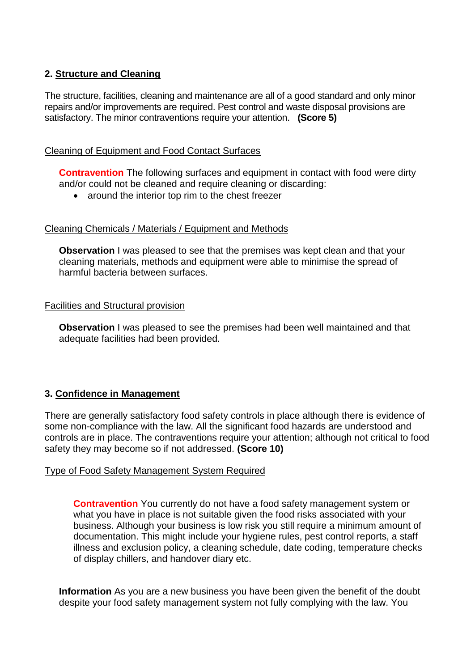# **2. Structure and Cleaning**

The structure, facilities, cleaning and maintenance are all of a good standard and only minor repairs and/or improvements are required. Pest control and waste disposal provisions are satisfactory. The minor contraventions require your attention. **(Score 5)**

## Cleaning of Equipment and Food Contact Surfaces

**Contravention** The following surfaces and equipment in contact with food were dirty and/or could not be cleaned and require cleaning or discarding:

• around the interior top rim to the chest freezer

## Cleaning Chemicals / Materials / Equipment and Methods

**Observation** I was pleased to see that the premises was kept clean and that your cleaning materials, methods and equipment were able to minimise the spread of harmful bacteria between surfaces.

#### Facilities and Structural provision

**Observation** I was pleased to see the premises had been well maintained and that adequate facilities had been provided.

## **3. Confidence in Management**

There are generally satisfactory food safety controls in place although there is evidence of some non-compliance with the law. All the significant food hazards are understood and controls are in place. The contraventions require your attention; although not critical to food safety they may become so if not addressed. **(Score 10)**

#### Type of Food Safety Management System Required

**Contravention** You currently do not have a food safety management system or what you have in place is not suitable given the food risks associated with your business. Although your business is low risk you still require a minimum amount of documentation. This might include your hygiene rules, pest control reports, a staff illness and exclusion policy, a cleaning schedule, date coding, temperature checks of display chillers, and handover diary etc.

**Information** As you are a new business you have been given the benefit of the doubt despite your food safety management system not fully complying with the law. You